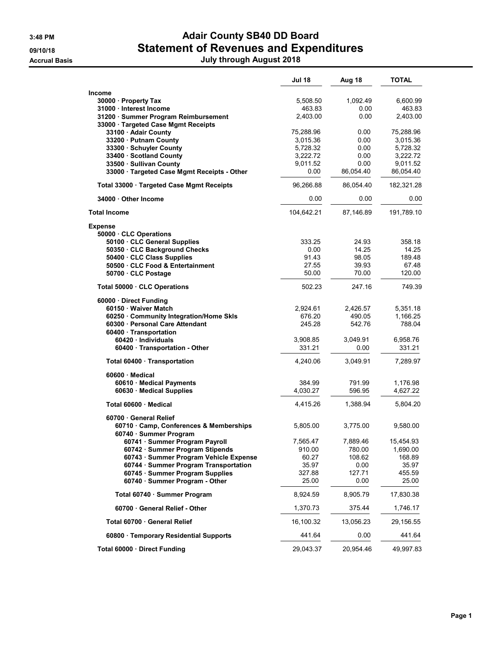## 3:48 PM **Adair County SB40 DD Board** 09/10/18 **Statement of Revenues and Expenditures** Accrual Basis July through August 2018

|                                                                           | <b>Jul 18</b>      | Aug 18           | <b>TOTAL</b>         |
|---------------------------------------------------------------------------|--------------------|------------------|----------------------|
| <b>Income</b>                                                             |                    |                  |                      |
| 30000 Property Tax                                                        | 5,508.50           | 1,092.49         | 6,600.99             |
| 31000 Interest Income                                                     | 463.83             | 0.00             | 463.83               |
| 31200 · Summer Program Reimbursement<br>33000 Targeted Case Mgmt Receipts | 2,403.00           | 0.00             | 2,403.00             |
| 33100 · Adair County                                                      | 75,288.96          | 0.00             | 75,288.96            |
| 33200 Putnam County                                                       | 3,015.36           | 0.00             | 3,015.36             |
| 33300 · Schuyler County                                                   | 5,728.32           | 0.00             | 5,728.32             |
| 33400 · Scotland County                                                   | 3,222.72           | 0.00             | 3,222.72             |
| 33500 · Sullivan County                                                   | 9,011.52           | 0.00             | 9,011.52             |
| 33000 · Targeted Case Mgmt Receipts - Other                               | 0.00               | 86,054.40        | 86,054.40            |
| Total 33000 · Targeted Case Mgmt Receipts                                 | 96,266.88          | 86,054.40        | 182,321.28           |
| 34000 Other Income                                                        | 0.00               | 0.00             | 0.00                 |
| <b>Total Income</b>                                                       | 104,642.21         | 87,146.89        | 191,789.10           |
| <b>Expense</b>                                                            |                    |                  |                      |
| 50000 · CLC Operations<br>50100 · CLC General Supplies                    | 333.25             | 24.93            | 358.18               |
| 50350 · CLC Background Checks                                             | 0.00               | 14.25            | 14.25                |
| 50400 · CLC Class Supplies                                                | 91.43              | 98.05            | 189.48               |
| 50500 CLC Food & Entertainment                                            | 27.55              | 39.93            | 67.48                |
| 50700 CLC Postage                                                         | 50.00              | 70.00            | 120.00               |
| Total 50000 · CLC Operations                                              | 502.23             | 247.16           | 749.39               |
| 60000 Direct Funding                                                      |                    |                  |                      |
| 60150 · Waiver Match                                                      | 2,924.61           | 2,426.57         | 5,351.18             |
| 60250 Community Integration/Home Skls                                     | 676.20             | 490.05           | 1,166.25             |
| 60300 Personal Care Attendant                                             | 245.28             | 542.76           | 788.04               |
| 60400 · Transportation<br>60420 Individuals                               | 3,908.85           | 3,049.91         | 6,958.76             |
| 60400 · Transportation - Other                                            | 331.21             | 0.00             | 331.21               |
|                                                                           | 4,240.06           | 3,049.91         | 7,289.97             |
| Total 60400 · Transportation                                              |                    |                  |                      |
| 60600 · Medical                                                           |                    |                  |                      |
| 60610 · Medical Payments<br>60630 · Medical Supplies                      | 384.99<br>4,030.27 | 791.99<br>596.95 | 1,176.98<br>4,627.22 |
|                                                                           |                    |                  |                      |
| Total 60600 · Medical                                                     | 4,415.26           | 1,388.94         | 5,804.20             |
| 60700 General Relief                                                      |                    |                  |                      |
| 60710 · Camp, Conferences & Memberships<br>60740 · Summer Program         | 5,805.00           | 3,775.00         | 9,580.00             |
| 60741 · Summer Program Payroll                                            | 7,565.47           | 7,889.46         | 15,454.93            |
| 60742 · Summer Program Stipends                                           | 910.00             | 780.00           | 1,690.00             |
| 60743 · Summer Program Vehicle Expense                                    | 60.27              | 108.62           | 168.89               |
| 60744 Summer Program Transportation                                       | 35.97              | 0.00             | 35.97                |
| 60745 · Summer Program Supplies                                           | 327.88             | 127.71           | 455.59               |
| 60740 · Summer Program - Other                                            | 25.00              | 0.00             | 25.00                |
| Total 60740 · Summer Program                                              | 8,924.59           | 8,905.79         | 17,830.38            |
| 60700 General Relief - Other                                              | 1,370.73           | 375.44           | 1,746.17             |
| Total 60700 · General Relief                                              | 16,100.32          | 13,056.23        | 29,156.55            |
| 60800 · Temporary Residential Supports                                    | 441.64             | 0.00             | 441.64               |
| Total 60000 · Direct Funding                                              | 29,043.37          | 20,954.46        | 49,997.83            |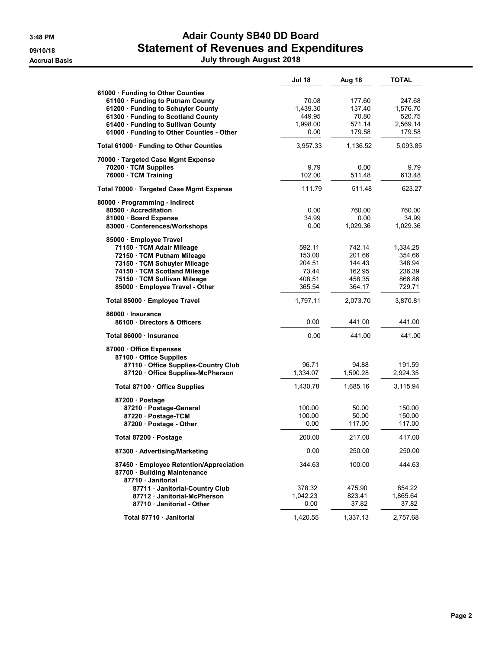# 3:48 PM **Adair County SB40 DD Board** 09/10/18 **Statement of Revenues and Expenditures**

Accrual Basis July through August 2018

|                                                                                                                                                                                                                                      | <b>Jul 18</b>                                           | Aug 18                                                   | <b>TOTAL</b>                                               |
|--------------------------------------------------------------------------------------------------------------------------------------------------------------------------------------------------------------------------------------|---------------------------------------------------------|----------------------------------------------------------|------------------------------------------------------------|
| 61000 · Funding to Other Counties<br>61100 · Funding to Putnam County<br>61200 · Funding to Schuyler County<br>61300 · Funding to Scotland County<br>61400 · Funding to Sullivan County<br>61000 · Funding to Other Counties - Other | 70.08<br>1,439.30<br>449.95<br>1,998.00<br>0.00         | 177.60<br>137.40<br>70.80<br>571.14<br>179.58            | 247.68<br>1,576.70<br>520.75<br>2,569.14<br>179.58         |
| Total 61000 · Funding to Other Counties                                                                                                                                                                                              | 3,957.33                                                | 1,136.52                                                 | 5,093.85                                                   |
| 70000 Targeted Case Mgmt Expense<br>70200 · TCM Supplies<br>76000 · TCM Training                                                                                                                                                     | 9.79<br>102.00                                          | 0.00<br>511.48                                           | 9.79<br>613.48                                             |
| Total 70000 · Targeted Case Mgmt Expense                                                                                                                                                                                             | 111.79                                                  | 511.48                                                   | 623.27                                                     |
| 80000 · Programming - Indirect<br>80500 Accreditation<br>81000 · Board Expense<br>83000 Conferences/Workshops                                                                                                                        | 0.00<br>34.99<br>0.00                                   | 760.00<br>0.00<br>1,029.36                               | 760.00<br>34.99<br>1,029.36                                |
| 85000 Employee Travel<br>71150 · TCM Adair Mileage<br>72150 · TCM Putnam Mileage<br>73150 · TCM Schuyler Mileage<br>74150 · TCM Scotland Mileage<br>75150 · TCM Sullivan Mileage<br>85000 · Employee Travel - Other                  | 592.11<br>153.00<br>204.51<br>73.44<br>408.51<br>365.54 | 742.14<br>201.66<br>144.43<br>162.95<br>458.35<br>364.17 | 1,334.25<br>354.66<br>348.94<br>236.39<br>866.86<br>729.71 |
| Total 85000 · Employee Travel                                                                                                                                                                                                        | 1,797.11                                                | 2,073.70                                                 | 3,870.81                                                   |
| 86000 · Insurance<br>86100 Directors & Officers                                                                                                                                                                                      | 0.00                                                    | 441.00                                                   | 441.00                                                     |
| Total 86000 · Insurance                                                                                                                                                                                                              | 0.00                                                    | 441.00                                                   | 441.00                                                     |
| 87000 Office Expenses<br>87100 Office Supplies<br>87110 Office Supplies-Country Club<br>87120 Office Supplies-McPherson<br>Total 87100 · Office Supplies                                                                             | 96.71<br>1,334.07<br>1,430.78                           | 94.88<br>1,590.28<br>1,685.16                            | 191.59<br>2,924.35<br>3,115.94                             |
| 87200 · Postage<br>87210 · Postage-General<br>87220 · Postage-TCM<br>87200 · Postage - Other                                                                                                                                         | 100.00<br>100.00<br>0.00                                | 50.00<br>50.00<br>117.00                                 | 150.00<br>150.00<br>117.00                                 |
| Total 87200 · Postage                                                                                                                                                                                                                | 200.00                                                  | 217.00                                                   | 417.00                                                     |
| 87300 · Advertising/Marketing                                                                                                                                                                                                        | 0.00                                                    | 250.00                                                   | 250.00                                                     |
| 87450 · Employee Retention/Appreciation<br>87700 Building Maintenance<br>87710 Janitorial                                                                                                                                            | 344.63                                                  | 100.00                                                   | 444.63                                                     |
| 87711 · Janitorial-Country Club<br>87712 · Janitorial-McPherson<br>87710 · Janitorial - Other                                                                                                                                        | 378.32<br>1,042.23<br>0.00                              | 475.90<br>823.41<br>37.82                                | 854.22<br>1,865.64<br>37.82                                |
| Total 87710 · Janitorial                                                                                                                                                                                                             | 1,420.55                                                | 1,337.13                                                 | 2,757.68                                                   |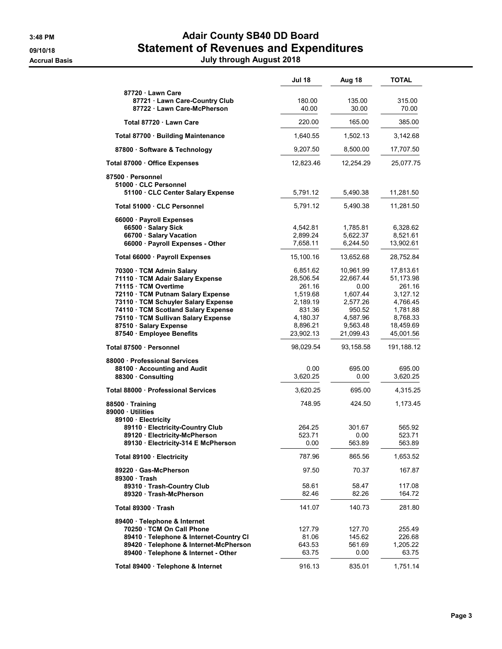## 3:48 PM **Adair County SB40 DD Board** 09/10/18 **Statement of Revenues and Expenditures**

Accrual Basis July through August 2018

|                                                                                                                                                                                                                                                                                                     | Jul 18                                                                                                 | Aug 18                                                                                                | <b>TOTAL</b>                                                                                               |
|-----------------------------------------------------------------------------------------------------------------------------------------------------------------------------------------------------------------------------------------------------------------------------------------------------|--------------------------------------------------------------------------------------------------------|-------------------------------------------------------------------------------------------------------|------------------------------------------------------------------------------------------------------------|
| 87720 Lawn Care<br>87721 Lawn Care-Country Club<br>87722 · Lawn Care-McPherson                                                                                                                                                                                                                      | 180.00<br>40.00                                                                                        | 135.00<br>30.00                                                                                       | 315.00<br>70.00                                                                                            |
| Total 87720 · Lawn Care                                                                                                                                                                                                                                                                             | 220.00                                                                                                 | 165.00                                                                                                | 385.00                                                                                                     |
| Total 87700 · Building Maintenance                                                                                                                                                                                                                                                                  | 1,640.55                                                                                               | 1,502.13                                                                                              | 3,142.68                                                                                                   |
| 87800 · Software & Technology                                                                                                                                                                                                                                                                       | 9,207.50                                                                                               | 8,500.00                                                                                              | 17,707.50                                                                                                  |
| Total 87000 · Office Expenses                                                                                                                                                                                                                                                                       | 12,823.46                                                                                              | 12.254.29                                                                                             | 25,077.75                                                                                                  |
| 87500 · Personnel<br>51000 CLC Personnel<br>51100 · CLC Center Salary Expense                                                                                                                                                                                                                       | 5,791.12                                                                                               | 5,490.38                                                                                              | 11,281.50                                                                                                  |
| Total 51000 · CLC Personnel                                                                                                                                                                                                                                                                         | 5,791.12                                                                                               | 5,490.38                                                                                              | 11,281.50                                                                                                  |
| 66000 · Payroll Expenses<br>66500 · Salary Sick<br>66700 · Salary Vacation<br>66000 · Payroll Expenses - Other                                                                                                                                                                                      | 4,542.81<br>2,899.24<br>7,658.11                                                                       | 1,785.81<br>5,622.37<br>6,244.50                                                                      | 6,328.62<br>8,521.61<br>13,902.61                                                                          |
| Total 66000 · Payroll Expenses                                                                                                                                                                                                                                                                      | 15,100.16                                                                                              | 13,652.68                                                                                             | 28,752.84                                                                                                  |
| 70300 · TCM Admin Salary<br>71110 · TCM Adair Salary Expense<br>71115 · TCM Overtime<br>72110 TCM Putnam Salary Expense<br>73110 · TCM Schuyler Salary Expense<br>74110 · TCM Scotland Salary Expense<br>75110 · TCM Sullivan Salary Expense<br>87510 · Salary Expense<br>87540 · Employee Benefits | 6,851.62<br>28,506.54<br>261.16<br>1,519.68<br>2,189.19<br>831.36<br>4,180.37<br>8,896.21<br>23,902.13 | 10,961.99<br>22,667.44<br>0.00<br>1,607.44<br>2,577.26<br>950.52<br>4,587.96<br>9,563.48<br>21,099.43 | 17,813.61<br>51,173.98<br>261.16<br>3,127.12<br>4,766.45<br>1,781.88<br>8,768.33<br>18,459.69<br>45,001.56 |
| Total 87500 · Personnel                                                                                                                                                                                                                                                                             | 98,029.54                                                                                              | 93,158.58                                                                                             | 191,188.12                                                                                                 |
| 88000 Professional Services<br>88100 · Accounting and Audit<br>88300 Consulting                                                                                                                                                                                                                     | 0.00<br>3,620.25                                                                                       | 695.00<br>0.00                                                                                        | 695.00<br>3,620.25                                                                                         |
| Total 88000 · Professional Services                                                                                                                                                                                                                                                                 | 3,620.25                                                                                               | 695.00                                                                                                | 4,315.25                                                                                                   |
| 88500 Training<br>89000 Utilities<br>89100 · Electricity<br>89110 · Electricity-Country Club<br>89120 · Electricity-McPherson<br>89130 · Electricity-314 E McPherson                                                                                                                                | 748.95<br>264.25<br>523.71<br>0.00                                                                     | 424.50<br>301.67<br>0.00<br>563.89                                                                    | 1,173.45<br>565.92<br>523.71<br>563.89                                                                     |
|                                                                                                                                                                                                                                                                                                     |                                                                                                        |                                                                                                       |                                                                                                            |
| Total 89100 · Electricity                                                                                                                                                                                                                                                                           | 787.96                                                                                                 | 865.56                                                                                                | 1,653.52                                                                                                   |
| 89220 Gas-McPherson<br>89300 Trash<br>89310 Trash-Country Club<br>89320 Trash-McPherson                                                                                                                                                                                                             | 97.50<br>58.61<br>82.46                                                                                | 70.37<br>58.47<br>82.26                                                                               | 167.87<br>117.08<br>164.72                                                                                 |
| Total 89300 Trash                                                                                                                                                                                                                                                                                   | 141.07                                                                                                 | 140.73                                                                                                | 281.80                                                                                                     |
| 89400 · Telephone & Internet<br>70250 TCM On Call Phone<br>89410 · Telephone & Internet-Country CI<br>89420 · Telephone & Internet-McPherson<br>89400 · Telephone & Internet - Other                                                                                                                | 127.79<br>81.06<br>643.53<br>63.75                                                                     | 127.70<br>145.62<br>561.69<br>$0.00\,$                                                                | 255.49<br>226.68<br>1,205.22<br>63.75                                                                      |
| Total 89400 · Telephone & Internet                                                                                                                                                                                                                                                                  | 916.13                                                                                                 | 835.01                                                                                                | 1,751.14                                                                                                   |